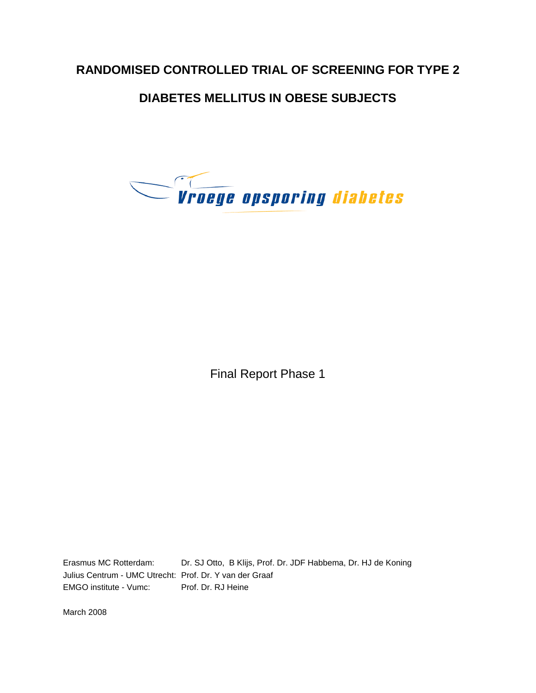# **RANDOMISED CONTROLLED TRIAL OF SCREENING FOR TYPE 2**

# **DIABETES MELLITUS IN OBESE SUBJECTS**



Final Report Phase 1

Erasmus MC Rotterdam: Dr. SJ Otto, B Klijs, Prof. Dr. JDF Habbema, Dr. HJ de Koning Julius Centrum - UMC Utrecht: Prof. Dr. Y van der Graaf EMGO institute - Vumc: Prof. Dr. RJ Heine

March 2008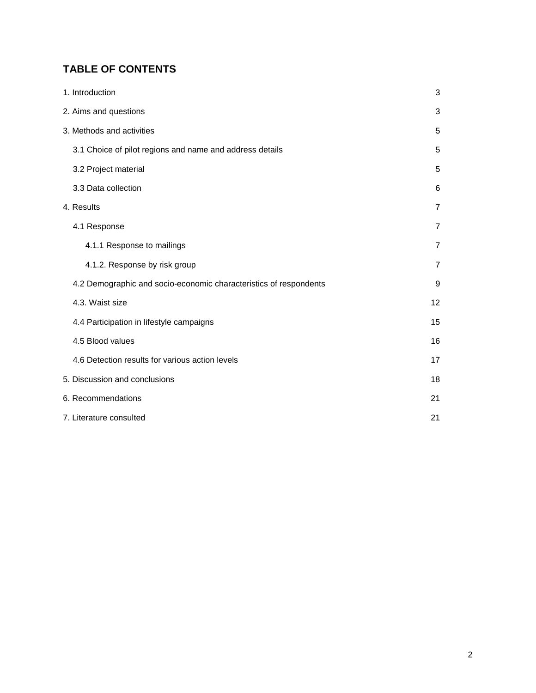# **TABLE OF CONTENTS**

| 1. Introduction                                                   | 3              |
|-------------------------------------------------------------------|----------------|
| 2. Aims and questions                                             | 3              |
| 3. Methods and activities                                         | 5              |
| 3.1 Choice of pilot regions and name and address details          | 5              |
| 3.2 Project material                                              | 5              |
| 3.3 Data collection                                               | 6              |
| 4. Results                                                        | $\overline{7}$ |
| 4.1 Response                                                      | $\overline{7}$ |
| 4.1.1 Response to mailings                                        | $\overline{7}$ |
| 4.1.2. Response by risk group                                     | $\overline{7}$ |
| 4.2 Demographic and socio-economic characteristics of respondents | 9              |
| 4.3. Waist size                                                   | 12             |
| 4.4 Participation in lifestyle campaigns                          | 15             |
| 4.5 Blood values                                                  | 16             |
| 4.6 Detection results for various action levels                   | 17             |
| 5. Discussion and conclusions                                     | 18             |
| 6. Recommendations                                                | 21             |
| 7. Literature consulted                                           | 21             |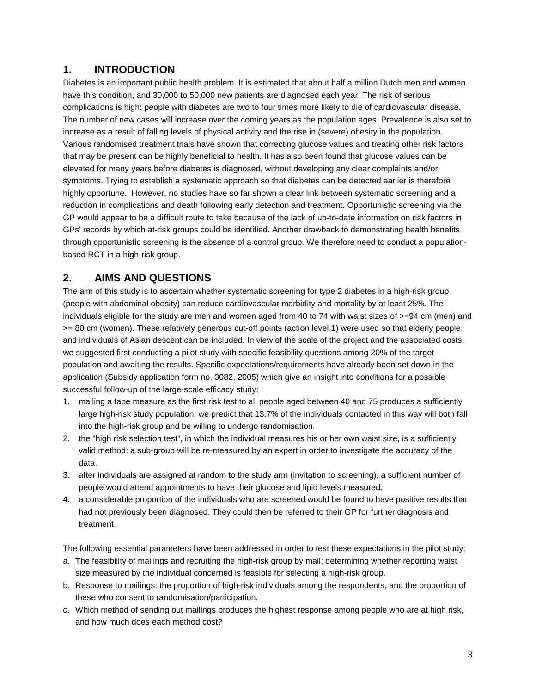# **1. INTRODUCTION**

Diabetes is an important public health problem. It is estimated that about half a million Dutch men and women have this condition, and 30,000 to 50,000 new patients are diagnosed each year. The risk of serious complications is high: people with diabetes are two to four times more likely to die of cardiovascular disease. The number of new cases will increase over the coming years as the population ages. Prevalence is also set to increase as a result of falling levels of physical activity and the rise in (severe) obesity in the population. Various randomised treatment trials have shown that correcting glucose values and treating other risk factors that may be present can be highly beneficial to health. It has also been found that glucose values can be elevated for many years before diabetes is diagnosed, without developing any clear complaints and/or symptoms. Trying to establish a systematic approach so that diabetes can be detected earlier is therefore highly opportune. However, no studies have so far shown a clear link between systematic screening and a reduction in complications and death following early detection and treatment. Opportunistic screening via the GP would appear to be a difficult route to take because of the lack of up-to-date information on risk factors in GPs' records by which at-risk groups could be identified. Another drawback to demonstrating health benefits through opportunistic screening is the absence of a control group. We therefore need to conduct a populationbased RCT in a high-risk group.

# **2. AIMS AND QUESTIONS**

The aim of this study is to ascertain whether systematic screening for type 2 diabetes in a high-risk group (people with abdominal obesity) can reduce cardiovascular morbidity and mortality by at least 25%. The individuals eligible for the study are men and women aged from 40 to 74 with waist sizes of >=94 cm (men) and >= 80 cm (women). These relatively generous cut-off points (action level 1) were used so that elderly people and individuals of Asian descent can be included. In view of the scale of the project and the associated costs, we suggested first conducting a pilot study with specific feasibility questions among 20% of the target population and awaiting the results. Specific expectations/requirements have already been set down in the application (Subsidy application form no. 3082, 2005) which give an insight into conditions for a possible successful follow-up of the large-scale efficacy study:

- 1. mailing a tape measure as the first risk test to all people aged between 40 and 75 produces a sufficiently large high-risk study population: we predict that 13.7% of the individuals contacted in this way will both fall into the high-risk group and be willing to undergo randomisation.
- 2. the "high risk selection test", in which the individual measures his or her own waist size, is a sufficiently valid method: a sub-group will be re-measured by an expert in order to investigate the accuracy of the data.
- 3. after individuals are assigned at random to the study arm (invitation to screening), a sufficient number of people would attend appointments to have their glucose and lipid levels measured.
- 4. a considerable proportion of the individuals who are screened would be found to have positive results that had not previously been diagnosed. They could then be referred to their GP for further diagnosis and treatment.

The following essential parameters have been addressed in order to test these expectations in the pilot study:

- a. The feasibility of mailings and recruiting the high-risk group by mail; determining whether reporting waist size measured by the individual concerned is feasible for selecting a high-risk group.
- b. Response to mailings: the proportion of high-risk individuals among the respondents, and the proportion of these who consent to randomisation/participation.
- c. Which method of sending out mailings produces the highest response among people who are at high risk, and how much does each method cost?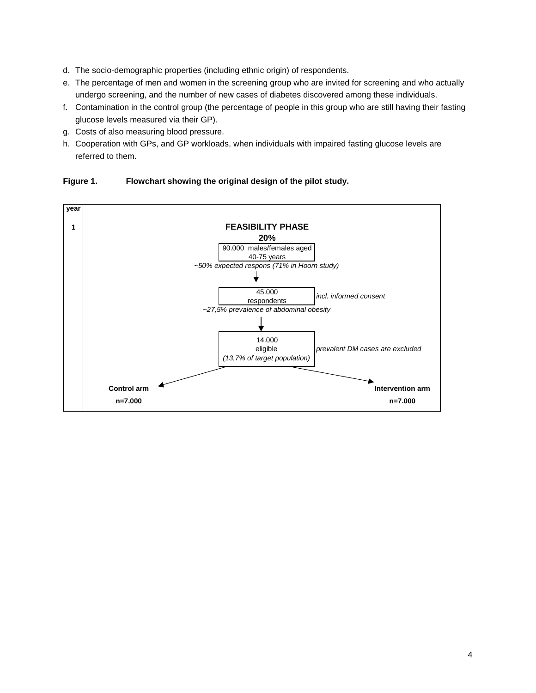- d. The socio-demographic properties (including ethnic origin) of respondents.
- e. The percentage of men and women in the screening group who are invited for screening and who actually undergo screening, and the number of new cases of diabetes discovered among these individuals.
- f. Contamination in the control group (the percentage of people in this group who are still having their fasting glucose levels measured via their GP).
- g. Costs of also measuring blood pressure.
- h. Cooperation with GPs, and GP workloads, when individuals with impaired fasting glucose levels are referred to them.



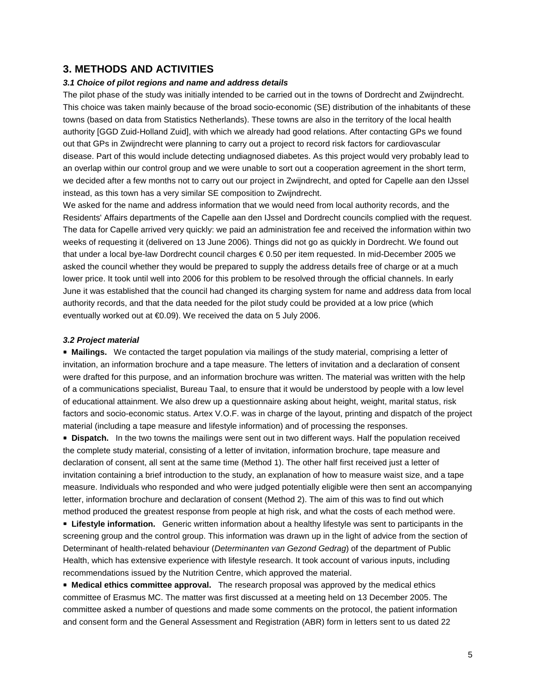# **3. METHODS AND ACTIVITIES**

## **3.1 Choice of pilot regions and name and address details**

The pilot phase of the study was initially intended to be carried out in the towns of Dordrecht and Zwijndrecht. This choice was taken mainly because of the broad socio-economic (SE) distribution of the inhabitants of these towns (based on data from Statistics Netherlands). These towns are also in the territory of the local health authority [GGD Zuid-Holland Zuid], with which we already had good relations. After contacting GPs we found out that GPs in Zwijndrecht were planning to carry out a project to record risk factors for cardiovascular disease. Part of this would include detecting undiagnosed diabetes. As this project would very probably lead to an overlap within our control group and we were unable to sort out a cooperation agreement in the short term, we decided after a few months not to carry out our project in Zwijndrecht, and opted for Capelle aan den IJssel instead, as this town has a very similar SE composition to Zwijndrecht.

We asked for the name and address information that we would need from local authority records, and the Residents' Affairs departments of the Capelle aan den IJssel and Dordrecht councils complied with the request. The data for Capelle arrived very quickly: we paid an administration fee and received the information within two weeks of requesting it (delivered on 13 June 2006). Things did not go as quickly in Dordrecht. We found out that under a local bye-law Dordrecht council charges € 0.50 per item requested. In mid-December 2005 we asked the council whether they would be prepared to supply the address details free of charge or at a much lower price. It took until well into 2006 for this problem to be resolved through the official channels. In early June it was established that the council had changed its charging system for name and address data from local authority records, and that the data needed for the pilot study could be provided at a low price (which eventually worked out at €0.09). We received the data on 5 July 2006.

#### **3.2 Project material**

 **Mailings.** We contacted the target population via mailings of the study material, comprising a letter of invitation, an information brochure and a tape measure. The letters of invitation and a declaration of consent were drafted for this purpose, and an information brochure was written. The material was written with the help of a communications specialist, Bureau Taal, to ensure that it would be understood by people with a low level of educational attainment. We also drew up a questionnaire asking about height, weight, marital status, risk factors and socio-economic status. Artex V.O.F. was in charge of the layout, printing and dispatch of the project material (including a tape measure and lifestyle information) and of processing the responses.

**. Dispatch.** In the two towns the mailings were sent out in two different ways. Half the population received the complete study material, consisting of a letter of invitation, information brochure, tape measure and declaration of consent, all sent at the same time (Method 1). The other half first received just a letter of invitation containing a brief introduction to the study, an explanation of how to measure waist size, and a tape measure. Individuals who responded and who were judged potentially eligible were then sent an accompanying letter, information brochure and declaration of consent (Method 2). The aim of this was to find out which method produced the greatest response from people at high risk, and what the costs of each method were.

 **Lifestyle information.** Generic written information about a healthy lifestyle was sent to participants in the screening group and the control group. This information was drawn up in the light of advice from the section of Determinant of health-related behaviour (Determinanten van Gezond Gedrag) of the department of Public Health, which has extensive experience with lifestyle research. It took account of various inputs, including recommendations issued by the Nutrition Centre, which approved the material.

**• Medical ethics committee approval.** The research proposal was approved by the medical ethics committee of Erasmus MC. The matter was first discussed at a meeting held on 13 December 2005. The committee asked a number of questions and made some comments on the protocol, the patient information and consent form and the General Assessment and Registration (ABR) form in letters sent to us dated 22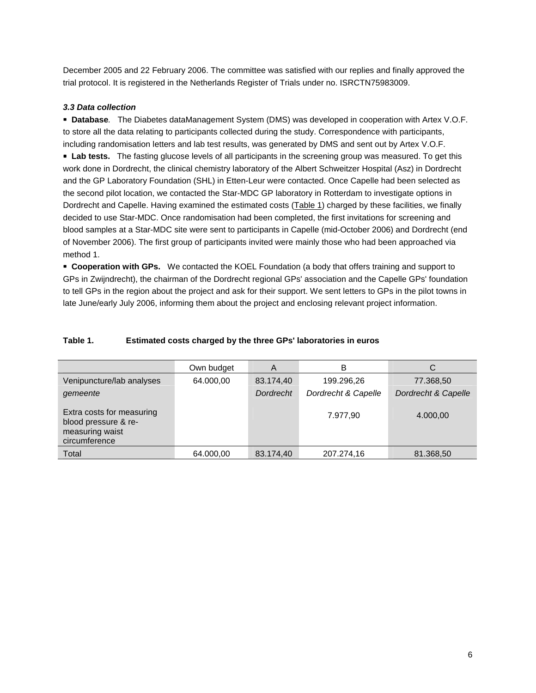December 2005 and 22 February 2006. The committee was satisfied with our replies and finally approved the trial protocol. It is registered in the Netherlands Register of Trials under no. ISRCTN75983009.

#### **3.3 Data collection**

 **Database**. The Diabetes dataManagement System (DMS) was developed in cooperation with Artex V.O.F. to store all the data relating to participants collected during the study. Correspondence with participants, including randomisation letters and lab test results, was generated by DMS and sent out by Artex V.O.F. **Lab tests.** The fasting glucose levels of all participants in the screening group was measured. To get this work done in Dordrecht, the clinical chemistry laboratory of the Albert Schweitzer Hospital (Asz) in Dordrecht and the GP Laboratory Foundation (SHL) in Etten-Leur were contacted. Once Capelle had been selected as the second pilot location, we contacted the Star-MDC GP laboratory in Rotterdam to investigate options in Dordrecht and Capelle. Having examined the estimated costs (Table 1) charged by these facilities, we finally decided to use Star-MDC. Once randomisation had been completed, the first invitations for screening and blood samples at a Star-MDC site were sent to participants in Capelle (mid-October 2006) and Dordrecht (end of November 2006). The first group of participants invited were mainly those who had been approached via method 1.

 **Cooperation with GPs.** We contacted the KOEL Foundation (a body that offers training and support to GPs in Zwijndrecht), the chairman of the Dordrecht regional GPs' association and the Capelle GPs' foundation to tell GPs in the region about the project and ask for their support. We sent letters to GPs in the pilot towns in late June/early July 2006, informing them about the project and enclosing relevant project information.

|                                                                                       | Own budget | A                | в                   |                     |
|---------------------------------------------------------------------------------------|------------|------------------|---------------------|---------------------|
| Venipuncture/lab analyses                                                             | 64.000,00  | 83.174,40        | 199.296,26          | 77.368,50           |
| gemeente                                                                              |            | <b>Dordrecht</b> | Dordrecht & Capelle | Dordrecht & Capelle |
| Extra costs for measuring<br>blood pressure & re-<br>measuring waist<br>circumference |            |                  | 7.977.90            | 4.000,00            |
| Total                                                                                 | 64.000,00  | 83.174,40        | 207.274,16          | 81.368,50           |

#### **Table 1. Estimated costs charged by the three GPs' laboratories in euros**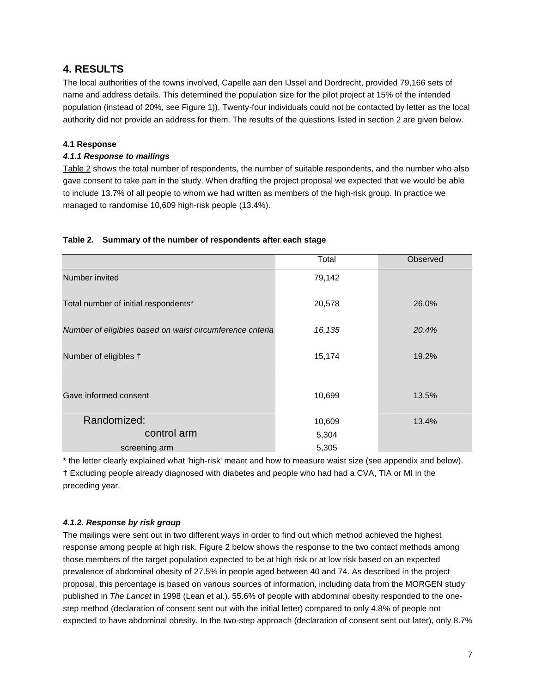# **4. RESULTS**

The local authorities of the towns involved, Capelle aan den IJssel and Dordrecht, provided 79,166 sets of name and address details. This determined the population size for the pilot project at 15% of the intended population (instead of 20%, see Figure 1)). Twenty-four individuals could not be contacted by letter as the local authority did not provide an address for them. The results of the questions listed in section 2 are given below.

## **4.1 Response**

## **4.1.1 Response to mailings**

Table 2 shows the total number of respondents, the number of suitable respondents, and the number who also gave consent to take part in the study. When drafting the project proposal we expected that we would be able to include 13.7% of all people to whom we had written as members of the high-risk group. In practice we managed to randomise 10,609 high-risk people (13.4%).

### **Table 2. Summary of the number of respondents after each stage**

|                                                           | Total  | Observed |
|-----------------------------------------------------------|--------|----------|
| Number invited                                            | 79,142 |          |
| Total number of initial respondents*                      | 20,578 | 26.0%    |
| Number of eligibles based on waist circumference criteria | 16,135 | 20.4%    |
| Number of eligibles †                                     | 15,174 | 19.2%    |
| Gave informed consent                                     | 10,699 | 13.5%    |
|                                                           |        |          |
| Randomized:                                               | 10,609 | 13.4%    |
| control arm                                               | 5,304  |          |
| screening arm                                             | 5,305  |          |

\* the letter clearly explained what 'high-risk' meant and how to measure waist size (see appendix and below). † Excluding people already diagnosed with diabetes and people who had had a CVA, TIA or MI in the preceding year.

## **4.1.2. Response by risk group**

The mailings were sent out in two different ways in order to find out which method achieved the highest response among people at high risk. Figure 2 below shows the response to the two contact methods among those members of the target population expected to be at high risk or at low risk based on an expected prevalence of abdominal obesity of 27.5% in people aged between 40 and 74. As described in the project proposal, this percentage is based on various sources of information, including data from the MORGEN study published in The Lancet in 1998 (Lean et al.). 55.6% of people with abdominal obesity responded to the onestep method (declaration of consent sent out with the initial letter) compared to only 4.8% of people not expected to have abdominal obesity. In the two-step approach (declaration of consent sent out later), only 8.7%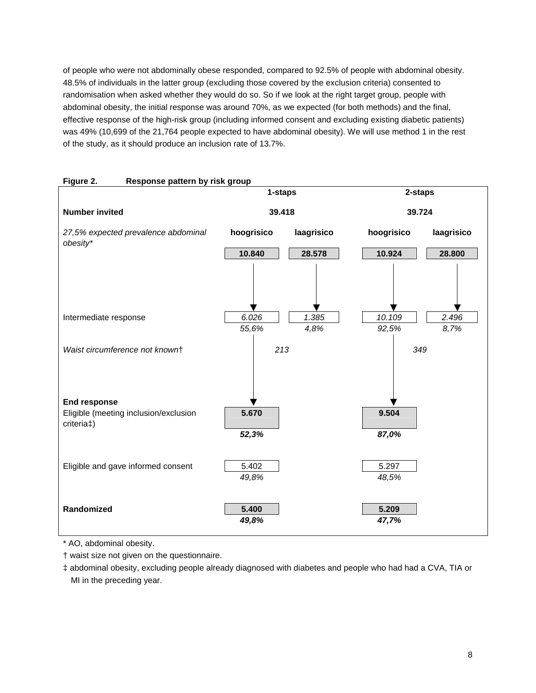of people who were not abdominally obese responded, compared to 92.5% of people with abdominal obesity. 48.5% of individuals in the latter group (excluding those covered by the exclusion criteria) consented to randomisation when asked whether they would do so. So if we look at the right target group, people with abdominal obesity, the initial response was around 70%, as we expected (for both methods) and the final, effective response of the high-risk group (including informed consent and excluding existing diabetic patients) was 49% (10,699 of the 21,764 people expected to have abdominal obesity). We will use method 1 in the rest of the study, as it should produce an inclusion rate of 13.7%.

| Figure 2.<br>Response pattern by risk group         |                |            |                |            |  |  |  |  |  |  |
|-----------------------------------------------------|----------------|------------|----------------|------------|--|--|--|--|--|--|
|                                                     | 1-staps        |            | 2-staps        |            |  |  |  |  |  |  |
| <b>Number invited</b>                               | 39.418         |            | 39.724         |            |  |  |  |  |  |  |
| 27,5% expected prevalence abdominal<br>obesity*     | hoogrisico     | laagrisico | hoogrisico     | laagrisico |  |  |  |  |  |  |
|                                                     | 10.840         | 28.578     | 10.924         | 28.800     |  |  |  |  |  |  |
| Intermediate response                               | 6.026          | 1.385      | 10.109         | 2.496      |  |  |  |  |  |  |
|                                                     | 55,6%          | 4,8%       | 92,5%          | 8,7%       |  |  |  |  |  |  |
| Waist circumference not known+                      | 213            |            | 349            |            |  |  |  |  |  |  |
| <b>End response</b>                                 |                |            |                |            |  |  |  |  |  |  |
| Eligible (meeting inclusion/exclusion<br>criteria‡) | 5.670<br>52,3% |            | 9.504<br>87,0% |            |  |  |  |  |  |  |
| Eligible and gave informed consent                  | 5.402<br>49,8% |            | 5.297<br>48,5% |            |  |  |  |  |  |  |
| Randomized                                          | 5.400<br>49,8% |            | 5.209<br>47,7% |            |  |  |  |  |  |  |

# **Figure 2. Response pattern by risk group**

\* AO, abdominal obesity.

† waist size not given on the questionnaire.

‡ abdominal obesity, excluding people already diagnosed with diabetes and people who had had a CVA, TIA or MI in the preceding year.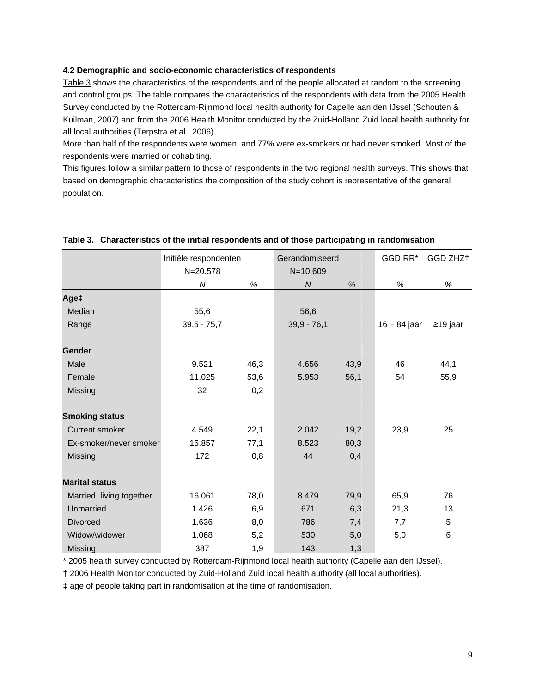#### **4.2 Demographic and socio-economic characteristics of respondents**

Table 3 shows the characteristics of the respondents and of the people allocated at random to the screening and control groups. The table compares the characteristics of the respondents with data from the 2005 Health Survey conducted by the Rotterdam-Rijnmond local health authority for Capelle aan den IJssel (Schouten & Kuilman, 2007) and from the 2006 Health Monitor conducted by the Zuid-Holland Zuid local health authority for all local authorities (Terpstra et al., 2006).

More than half of the respondents were women, and 77% were ex-smokers or had never smoked. Most of the respondents were married or cohabiting.

This figures follow a similar pattern to those of respondents in the two regional health surveys. This shows that based on demographic characteristics the composition of the study cohort is representative of the general population.

|                          | Initiële respondenten | Gerandomiseerd |               | GGD RR* | GGD ZHZ <sup>+</sup> |                |
|--------------------------|-----------------------|----------------|---------------|---------|----------------------|----------------|
|                          | N=20.578              |                | $N = 10.609$  |         |                      |                |
|                          | ${\cal N}$            | %              | N             | $\%$    | $\%$                 | %              |
| Age‡                     |                       |                |               |         |                      |                |
| Median                   | 55,6                  |                | 56,6          |         |                      |                |
| Range                    | $39,5 - 75,7$         |                | $39,9 - 76,1$ |         | $16 - 84$ jaar       | $\geq$ 19 jaar |
| Gender                   |                       |                |               |         |                      |                |
| Male                     | 9.521                 | 46,3           | 4.656         | 43,9    | 46                   | 44,1           |
| Female                   | 11.025                | 53,6           | 5.953         | 56,1    | 54                   | 55,9           |
| Missing                  | 32                    | 0,2            |               |         |                      |                |
| <b>Smoking status</b>    |                       |                |               |         |                      |                |
| <b>Current smoker</b>    | 4.549                 | 22,1           | 2.042         | 19,2    | 23,9                 | 25             |
| Ex-smoker/never smoker   | 15.857                | 77,1           | 8.523         | 80,3    |                      |                |
| Missing                  | 172                   | 0,8            | 44            | 0,4     |                      |                |
| <b>Marital status</b>    |                       |                |               |         |                      |                |
| Married, living together | 16.061                | 78,0           | 8.479         | 79,9    | 65,9                 | 76             |
| Unmarried                | 1.426                 | 6,9            | 671           | 6,3     | 21,3                 | 13             |
| <b>Divorced</b>          | 1.636                 | 8,0            | 786           | 7,4     | 7,7                  | 5              |
| Widow/widower            | 1.068                 | 5,2            | 530           | 5,0     | 5,0                  | 6              |
| Missing                  | 387                   | 1,9            | 143           | 1,3     |                      |                |

#### **Table 3. Characteristics of the initial respondents and of those participating in randomisation**

\* 2005 health survey conducted by Rotterdam-Rijnmond local health authority (Capelle aan den IJssel).

† 2006 Health Monitor conducted by Zuid-Holland Zuid local health authority (all local authorities).

‡ age of people taking part in randomisation at the time of randomisation.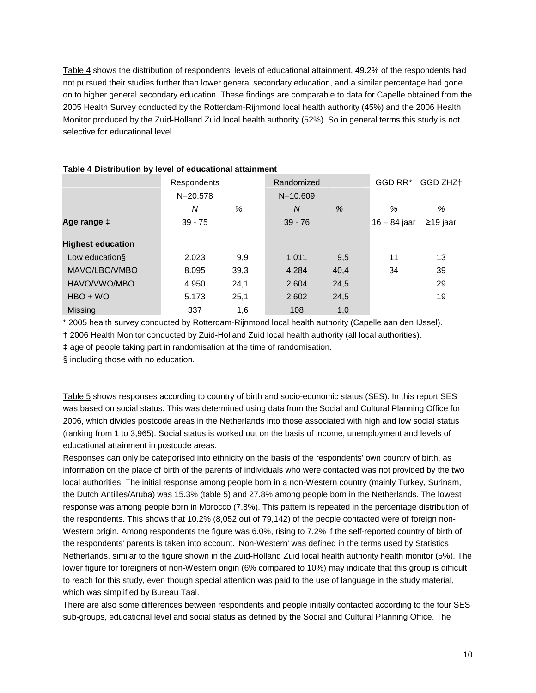Table 4 shows the distribution of respondents' levels of educational attainment. 49.2% of the respondents had not pursued their studies further than lower general secondary education, and a similar percentage had gone on to higher general secondary education. These findings are comparable to data for Capelle obtained from the 2005 Health Survey conducted by the Rotterdam-Rijnmond local health authority (45%) and the 2006 Health Monitor produced by the Zuid-Holland Zuid local health authority (52%). So in general terms this study is not selective for educational level.

|                          | Respondents  |      | Randomized     |      | GGD RR* | GGD ZHZ <sup>+</sup> |                |
|--------------------------|--------------|------|----------------|------|---------|----------------------|----------------|
|                          | $N = 20.578$ |      | $N = 10.609$   |      |         |                      |                |
|                          | N            | %    | $\overline{N}$ | %    |         | %                    | %              |
| Age range $\ddagger$     | $39 - 75$    |      | $39 - 76$      |      |         | $16 - 84$ jaar       | $\geq$ 19 jaar |
| <b>Highest education</b> |              |      |                |      |         |                      |                |
| Low education§           | 2.023        | 9,9  | 1.011          | 9,5  |         | 11                   | 13             |
| MAVO/LBO/VMBO            | 8.095        | 39,3 | 4.284          | 40,4 |         | 34                   | 39             |
| HAVO/VWO/MBO             | 4.950        | 24,1 | 2.604          | 24,5 |         |                      | 29             |
| $HBO + WO$               | 5.173        | 25,1 | 2.602          | 24,5 |         |                      | 19             |
| Missina                  | 337          | 1,6  | 108            | 1,0  |         |                      |                |

#### **Table 4 Distribution by level of educational attainment**

\* 2005 health survey conducted by Rotterdam-Rijnmond local health authority (Capelle aan den IJssel).

† 2006 Health Monitor conducted by Zuid-Holland Zuid local health authority (all local authorities).

‡ age of people taking part in randomisation at the time of randomisation.

§ including those with no education.

Table 5 shows responses according to country of birth and socio-economic status (SES). In this report SES was based on social status. This was determined using data from the Social and Cultural Planning Office for 2006, which divides postcode areas in the Netherlands into those associated with high and low social status (ranking from 1 to 3,965). Social status is worked out on the basis of income, unemployment and levels of educational attainment in postcode areas.

Responses can only be categorised into ethnicity on the basis of the respondents' own country of birth, as information on the place of birth of the parents of individuals who were contacted was not provided by the two local authorities. The initial response among people born in a non-Western country (mainly Turkey, Surinam, the Dutch Antilles/Aruba) was 15.3% (table 5) and 27.8% among people born in the Netherlands. The lowest response was among people born in Morocco (7.8%). This pattern is repeated in the percentage distribution of the respondents. This shows that 10.2% (8,052 out of 79,142) of the people contacted were of foreign non-Western origin. Among respondents the figure was 6.0%, rising to 7.2% if the self-reported country of birth of the respondents' parents is taken into account. 'Non-Western' was defined in the terms used by Statistics Netherlands, similar to the figure shown in the Zuid-Holland Zuid local health authority health monitor (5%). The lower figure for foreigners of non-Western origin (6% compared to 10%) may indicate that this group is difficult to reach for this study, even though special attention was paid to the use of language in the study material, which was simplified by Bureau Taal.

There are also some differences between respondents and people initially contacted according to the four SES sub-groups, educational level and social status as defined by the Social and Cultural Planning Office. The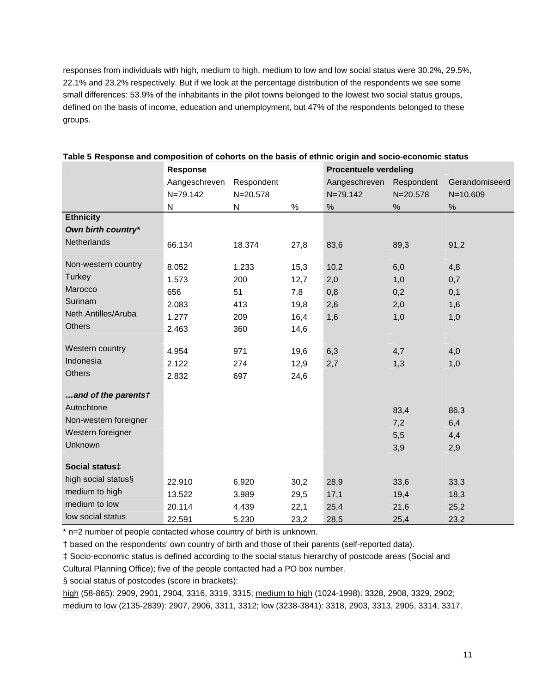responses from individuals with high, medium to high, medium to low and low social status were 30.2%, 29.5%, 22.1% and 23.2% respectively. But if we look at the percentage distribution of the respondents we see some small differences: 53.9% of the inhabitants in the pilot towns belonged to the lowest two social status groups, defined on the basis of income, education and unemployment, but 47% of the respondents belonged to these groups.

|                       | <b>Response</b> |            |      | <b>Procentuele verdeling</b> |              |                |
|-----------------------|-----------------|------------|------|------------------------------|--------------|----------------|
|                       | Aangeschreven   | Respondent |      | Aangeschreven                | Respondent   | Gerandomiseerd |
|                       | N=79.142        | N=20.578   |      | $N = 79.142$                 | $N = 20.578$ | $N = 10.609$   |
|                       | N               | ${\sf N}$  | $\%$ | $\%$                         | $\%$         | $\%$           |
| <b>Ethnicity</b>      |                 |            |      |                              |              |                |
| Own birth country*    |                 |            |      |                              |              |                |
| <b>Netherlands</b>    | 66.134          | 18.374     | 27,8 | 83,6                         | 89,3         | 91,2           |
| Non-western country   | 8.052           | 1.233      | 15,3 | 10,2                         | 6,0          | 4,8            |
| <b>Turkey</b>         | 1.573           | 200        | 12,7 | 2,0                          | 1,0          | 0,7            |
| Marocco               | 656             | 51         | 7,8  | 0,8                          | 0,2          | 0,1            |
| Surinam               | 2.083           | 413        | 19,8 | 2,6                          | 2,0          | 1,6            |
| Neth.Antilles/Aruba   | 1.277           | 209        | 16,4 | 1,6                          | 1,0          | 1,0            |
| <b>Others</b>         | 2.463           | 360        | 14,6 |                              |              |                |
| Western country       | 4.954           | 971        | 19,6 | 6,3                          | 4,7          | 4,0            |
| Indonesia             | 2.122           | 274        | 12,9 | 2,7                          | 1,3          | 1,0            |
| <b>Others</b>         | 2.832           | 697        | 24,6 |                              |              |                |
| and of the parents†   |                 |            |      |                              |              |                |
| Autochtone            |                 |            |      |                              | 83,4         | 86,3           |
| Non-western foreigner |                 |            |      |                              | 7,2          | 6,4            |
| Western foreigner     |                 |            |      |                              | 5,5          | 4,4            |
| Unknown               |                 |            |      |                              | 3,9          | 2,9            |
| Social status‡        |                 |            |      |                              |              |                |
| high social status§   | 22.910          | 6.920      | 30,2 | 28,9                         | 33,6         | 33,3           |
| medium to high        | 13.522          | 3.989      | 29,5 | 17,1                         | 19,4         | 18,3           |
| medium to low         | 20.114          | 4.439      | 22,1 | 25,4                         | 21,6         | 25,2           |
| low social status     | 22.591          | 5.230      | 23,2 | 28,5                         | 25,4         | 23,2           |

### **Table 5 Response and composition of cohorts on the basis of ethnic origin and socio-economic status**

\* n=2 number of people contacted whose country of birth is unknown.

† based on the respondents' own country of birth and those of their parents (self-reported data).

‡ Socio-economic status is defined according to the social status hierarchy of postcode areas (Social and

Cultural Planning Office); five of the people contacted had a PO box number.

§ social status of postcodes (score in brackets):

high (58-865): 2909, 2901, 2904, 3316, 3319, 3315; medium to high (1024-1998): 3328, 2908, 3329, 2902; medium to low (2135-2839): 2907, 2906, 3311, 3312; low (3238-3841): 3318, 2903, 3313, 2905, 3314, 3317.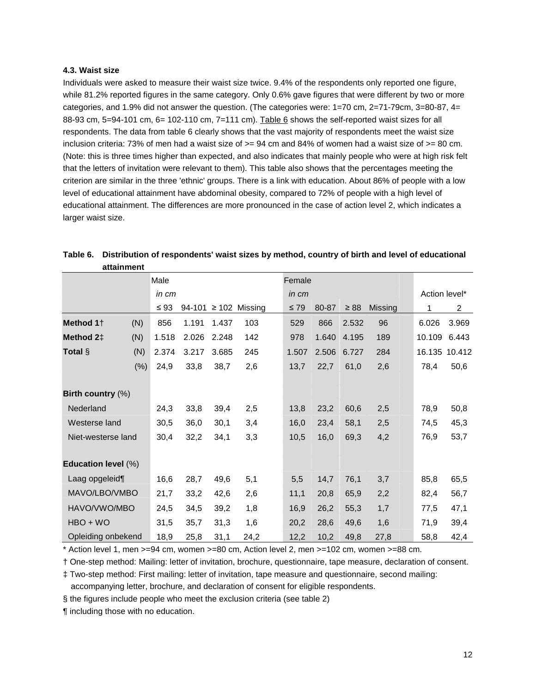#### **4.3. Waist size**

Individuals were asked to measure their waist size twice. 9.4% of the respondents only reported one figure, while 81.2% reported figures in the same category. Only 0.6% gave figures that were different by two or more categories, and 1.9% did not answer the question. (The categories were: 1=70 cm, 2=71-79cm, 3=80-87, 4= 88-93 cm, 5=94-101 cm, 6= 102-110 cm, 7=111 cm). Table 6 shows the self-reported waist sizes for all respondents. The data from table 6 clearly shows that the vast majority of respondents meet the waist size inclusion criteria: 73% of men had a waist size of  $>= 94$  cm and 84% of women had a waist size of  $>= 80$  cm. (Note: this is three times higher than expected, and also indicates that mainly people who were at high risk felt that the letters of invitation were relevant to them). This table also shows that the percentages meeting the criterion are similar in the three 'ethnic' groups. There is a link with education. About 86% of people with a low level of educational attainment have abdominal obesity, compared to 72% of people with a high level of educational attainment. The differences are more pronounced in the case of action level 2, which indicates a larger waist size.

| auannieni             |      |           |        |            |         |           |       |           |         |               |                |
|-----------------------|------|-----------|--------|------------|---------|-----------|-------|-----------|---------|---------------|----------------|
|                       |      | Male      |        |            |         | Female    |       |           |         |               |                |
|                       |      | in cm     |        |            |         | in cm     |       |           |         | Action level* |                |
|                       |      | $\leq 93$ | 94-101 | $\geq 102$ | Missing | $\leq 79$ | 80-87 | $\geq 88$ | Missing | 1             | $\overline{2}$ |
| Method 1 <sup>+</sup> | (N)  | 856       | 1.191  | 1.437      | 103     | 529       | 866   | 2.532     | 96      | 6.026         | 3.969          |
| Method 2‡             | (N)  | 1.518     | 2.026  | 2.248      | 142     | 978       | 1.640 | 4.195     | 189     | 10.109        | 6.443          |
| Total §               | (N)  | 2.374     | 3.217  | 3.685      | 245     | 1.507     | 2.506 | 6.727     | 284     | 16.135        | 10.412         |
|                       | (% ) | 24,9      | 33,8   | 38,7       | 2,6     | 13,7      | 22,7  | 61,0      | 2,6     | 78,4          | 50,6           |
|                       |      |           |        |            |         |           |       |           |         |               |                |
| Birth country (%)     |      |           |        |            |         |           |       |           |         |               |                |
| Nederland             |      | 24,3      | 33,8   | 39,4       | 2,5     | 13,8      | 23,2  | 60,6      | 2,5     | 78,9          | 50,8           |
| Westerse land         |      | 30,5      | 36,0   | 30,1       | 3,4     | 16,0      | 23,4  | 58,1      | 2,5     | 74,5          | 45,3           |
| Niet-westerse land    |      | 30,4      | 32,2   | 34,1       | 3,3     | 10,5      | 16,0  | 69,3      | 4,2     | 76,9          | 53,7           |
|                       |      |           |        |            |         |           |       |           |         |               |                |
| Education level (%)   |      |           |        |            |         |           |       |           |         |               |                |
| Laag opgeleid¶        |      | 16,6      | 28,7   | 49,6       | 5,1     | 5,5       | 14,7  | 76,1      | 3,7     | 85,8          | 65,5           |
| MAVO/LBO/VMBO         |      | 21,7      | 33,2   | 42,6       | 2,6     | 11,1      | 20,8  | 65,9      | 2,2     | 82,4          | 56,7           |
| HAVO/VWO/MBO          |      | 24,5      | 34,5   | 39,2       | 1,8     | 16,9      | 26,2  | 55,3      | 1,7     | 77,5          | 47,1           |
| $HBO + WO$            |      | 31,5      | 35,7   | 31,3       | 1,6     | 20,2      | 28,6  | 49,6      | 1,6     | 71,9          | 39,4           |
| Opleiding onbekend    |      | 18,9      | 25,8   | 31,1       | 24,2    | 12,2      | 10,2  | 49,8      | 27,8    | 58,8          | 42,4           |

#### **Table 6. Distribution of respondents' waist sizes by method, country of birth and level of educational attainment**

 $*$  Action level 1, men  $>=$  94 cm, women  $>=$  80 cm, Action level 2, men  $>=$  102 cm, women  $>=$  88 cm.

† One-step method: Mailing: letter of invitation, brochure, questionnaire, tape measure, declaration of consent.

‡ Two-step method: First mailing: letter of invitation, tape measure and questionnaire, second mailing:

accompanying letter, brochure, and declaration of consent for eligible respondents.

§ the figures include people who meet the exclusion criteria (see table 2)

¶ including those with no education.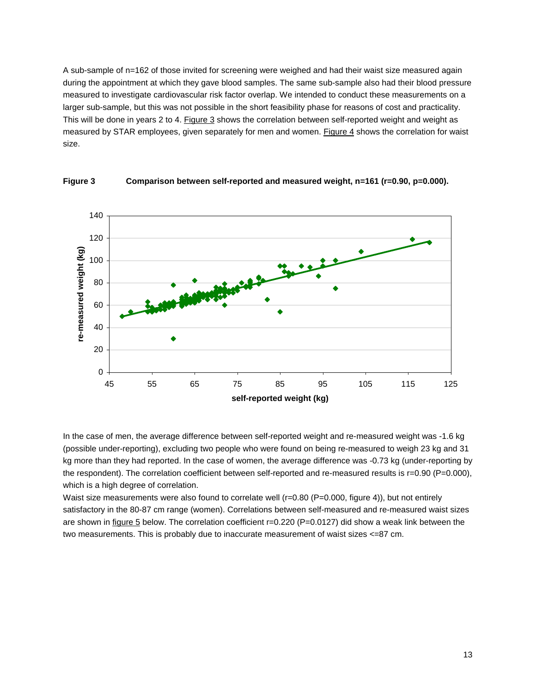A sub-sample of n=162 of those invited for screening were weighed and had their waist size measured again during the appointment at which they gave blood samples. The same sub-sample also had their blood pressure measured to investigate cardiovascular risk factor overlap. We intended to conduct these measurements on a larger sub-sample, but this was not possible in the short feasibility phase for reasons of cost and practicality. This will be done in years 2 to 4. Figure 3 shows the correlation between self-reported weight and weight as measured by STAR employees, given separately for men and women. Figure 4 shows the correlation for waist size.





In the case of men, the average difference between self-reported weight and re-measured weight was -1.6 kg (possible under-reporting), excluding two people who were found on being re-measured to weigh 23 kg and 31 kg more than they had reported. In the case of women, the average difference was -0.73 kg (under-reporting by the respondent). The correlation coefficient between self-reported and re-measured results is r=0.90 (P=0.000), which is a high degree of correlation.

Waist size measurements were also found to correlate well (r=0.80 (P=0.000, figure 4)), but not entirely satisfactory in the 80-87 cm range (women). Correlations between self-measured and re-measured waist sizes are shown in figure 5 below. The correlation coefficient r=0.220 (P=0.0127) did show a weak link between the two measurements. This is probably due to inaccurate measurement of waist sizes <=87 cm.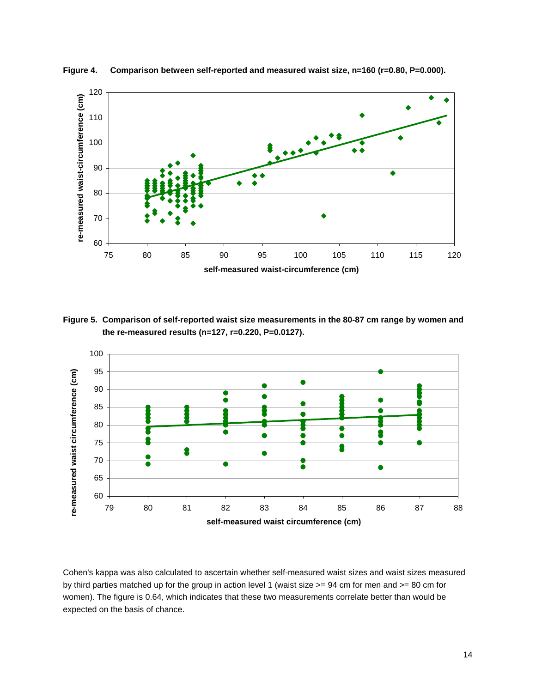

Figure 4. Comparison between self-reported and measured waist size, n=160 (r=0.80, P=0.000).

**Figure 5. Comparison of self-reported waist size measurements in the 80-87 cm range by women and the re-measured results (n=127, r=0.220, P=0.0127).**



Cohen's kappa was also calculated to ascertain whether self-measured waist sizes and waist sizes measured by third parties matched up for the group in action level 1 (waist size  $>= 94$  cm for men and  $>= 80$  cm for women). The figure is 0.64, which indicates that these two measurements correlate better than would be expected on the basis of chance.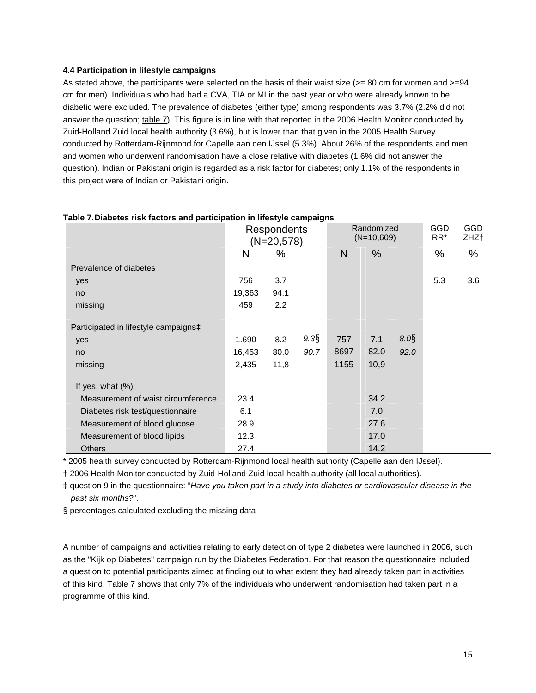#### **4.4 Participation in lifestyle campaigns**

As stated above, the participants were selected on the basis of their waist size ( $>= 80$  cm for women and  $>= 94$ cm for men). Individuals who had had a CVA, TIA or MI in the past year or who were already known to be diabetic were excluded. The prevalence of diabetes (either type) among respondents was 3.7% (2.2% did not answer the question; table 7). This figure is in line with that reported in the 2006 Health Monitor conducted by Zuid-Holland Zuid local health authority (3.6%), but is lower than that given in the 2005 Health Survey conducted by Rotterdam-Rijnmond for Capelle aan den IJssel (5.3%). About 26% of the respondents and men and women who underwent randomisation have a close relative with diabetes (1.6% did not answer the question). Indian or Pakistani origin is regarded as a risk factor for diabetes; only 1.1% of the respondents in this project were of Indian or Pakistani origin.

|                                                              | <b>Respondents</b><br>$(N=20,578)$ |                     |                 | Randomized<br>$(N=10,609)$ |                     |                 | GGD<br>RR* | <b>GGD</b><br>ZHZ <sup>+</sup> |
|--------------------------------------------------------------|------------------------------------|---------------------|-----------------|----------------------------|---------------------|-----------------|------------|--------------------------------|
|                                                              | N                                  | %                   |                 | N                          | %                   |                 | ℅          | ℅                              |
| Prevalence of diabetes                                       |                                    |                     |                 |                            |                     |                 |            |                                |
| yes                                                          | 756                                | 3.7                 |                 |                            |                     |                 | 5.3        | 3.6                            |
| no                                                           | 19,363                             | 94.1                |                 |                            |                     |                 |            |                                |
| missing                                                      | 459                                | 2.2                 |                 |                            |                     |                 |            |                                |
| Participated in lifestyle campaigns‡<br>yes<br>no<br>missing | 1.690<br>16,453<br>2,435           | 8.2<br>80.0<br>11,8 | $9.3\%$<br>90.7 | 757<br>8697<br>1155        | 7.1<br>82.0<br>10,9 | $8.0\%$<br>92.0 |            |                                |
| If yes, what $(\%)$ :                                        |                                    |                     |                 |                            |                     |                 |            |                                |
| Measurement of waist circumference                           | 23.4                               |                     |                 |                            | 34.2                |                 |            |                                |
| Diabetes risk test/questionnaire                             | 6.1                                |                     |                 |                            | 7.0                 |                 |            |                                |
| Measurement of blood glucose                                 | 28.9                               |                     |                 |                            | 27.6                |                 |            |                                |
| Measurement of blood lipids                                  | 12.3                               |                     |                 |                            | 17.0                |                 |            |                                |
| <b>Others</b>                                                | 27.4                               |                     |                 |                            | 14.2                |                 |            |                                |

#### **Table 7. Diabetes risk factors and participation in lifestyle campaigns**

\* 2005 health survey conducted by Rotterdam-Rijnmond local health authority (Capelle aan den IJssel).

† 2006 Health Monitor conducted by Zuid-Holland Zuid local health authority (all local authorities).

‡ question 9 in the questionnaire: "Have you taken part in a study into diabetes or cardiovascular disease in the past six months?".

§ percentages calculated excluding the missing data

A number of campaigns and activities relating to early detection of type 2 diabetes were launched in 2006, such as the "Kijk op Diabetes" campaign run by the Diabetes Federation. For that reason the questionnaire included a question to potential participants aimed at finding out to what extent they had already taken part in activities of this kind. Table 7 shows that only 7% of the individuals who underwent randomisation had taken part in a programme of this kind.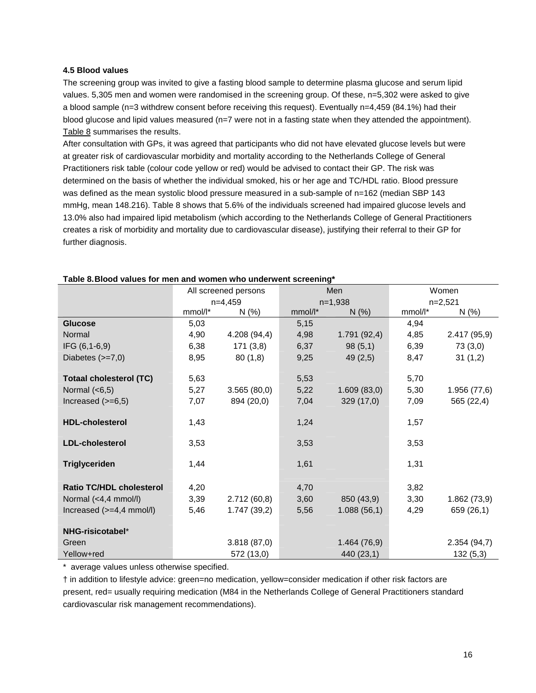#### **4.5 Blood values**

The screening group was invited to give a fasting blood sample to determine plasma glucose and serum lipid values. 5,305 men and women were randomised in the screening group. Of these, n=5,302 were asked to give a blood sample (n=3 withdrew consent before receiving this request). Eventually n=4,459 (84.1%) had their blood glucose and lipid values measured (n=7 were not in a fasting state when they attended the appointment). Table 8 summarises the results.

After consultation with GPs, it was agreed that participants who did not have elevated glucose levels but were at greater risk of cardiovascular morbidity and mortality according to the Netherlands College of General Practitioners risk table (colour code yellow or red) would be advised to contact their GP. The risk was determined on the basis of whether the individual smoked, his or her age and TC/HDL ratio. Blood pressure was defined as the mean systolic blood pressure measured in a sub-sample of n=162 (median SBP 143 mmHg, mean 148.216). Table 8 shows that 5.6% of the individuals screened had impaired glucose levels and 13.0% also had impaired lipid metabolism (which according to the Netherlands College of General Practitioners creates a risk of morbidity and mortality due to cardiovascular disease), justifying their referral to their GP for further diagnosis.

|                                 | All screened persons |             |         | Men         | Women   |              |  |
|---------------------------------|----------------------|-------------|---------|-------------|---------|--------------|--|
|                                 |                      | $n=4,459$   |         | $n=1,938$   |         | $n=2,521$    |  |
|                                 | mmol/l*              | N(%         | mmol/l* | N(%         | mmol/l* | N(%          |  |
| <b>Glucose</b>                  | 5,03                 |             | 5,15    |             | 4,94    |              |  |
| Normal                          | 4,90                 | 4.208(94,4) | 4,98    | 1.791(92,4) | 4,85    | 2.417 (95,9) |  |
| IFG (6,1-6,9)                   | 6,38                 | 171(3,8)    | 6,37    | 98(5,1)     | 6,39    | 73(3,0)      |  |
| Diabetes $(>=7,0)$              | 8,95                 | 80(1,8)     | 9,25    | 49(2,5)     | 8,47    | 31(1,2)      |  |
|                                 |                      |             |         |             |         |              |  |
| <b>Totaal cholesterol (TC)</b>  | 5,63                 |             | 5,53    |             | 5,70    |              |  |
| Normal $(6,5)$                  | 5,27                 | 3.565(80,0) | 5,22    | 1.609(83,0) | 5,30    | 1.956(77,6)  |  |
| Increased $(>=6,5)$             | 7,07                 | 894 (20,0)  | 7,04    | 329(17,0)   | 7,09    | 565 (22,4)   |  |
| <b>HDL-cholesterol</b>          | 1,43                 |             | 1,24    |             | 1,57    |              |  |
| <b>LDL-cholesterol</b>          | 3,53                 |             | 3,53    |             | 3,53    |              |  |
| <b>Triglyceriden</b>            | 1,44                 |             | 1,61    |             | 1,31    |              |  |
| <b>Ratio TC/HDL cholesterol</b> | 4,20                 |             | 4,70    |             | 3,82    |              |  |
| Normal (<4,4 mmol/l)            | 3,39                 | 2.712(60,8) | 3,60    | 850 (43,9)  | 3,30    | 1.862(73,9)  |  |
| Increased $(>=4,4$ mmol/l)      | 5,46                 | 1.747(39,2) | 5,56    | 1.088(56,1) | 4,29    | 659 (26,1)   |  |
| NHG-risicotabel*                |                      |             |         |             |         |              |  |
|                                 |                      |             |         |             |         |              |  |
| Green                           |                      | 3.818(87,0) |         | 1.464(76,9) |         | 2.354(94,7)  |  |
| Yellow+red                      |                      | 572 (13,0)  |         | 440 (23,1)  |         | 132(5,3)     |  |

#### **Table 8. Blood values for men and women who underwent screening\***

\* average values unless otherwise specified.

† in addition to lifestyle advice: green=no medication, yellow=consider medication if other risk factors are present, red= usually requiring medication (M84 in the Netherlands College of General Practitioners standard cardiovascular risk management recommendations).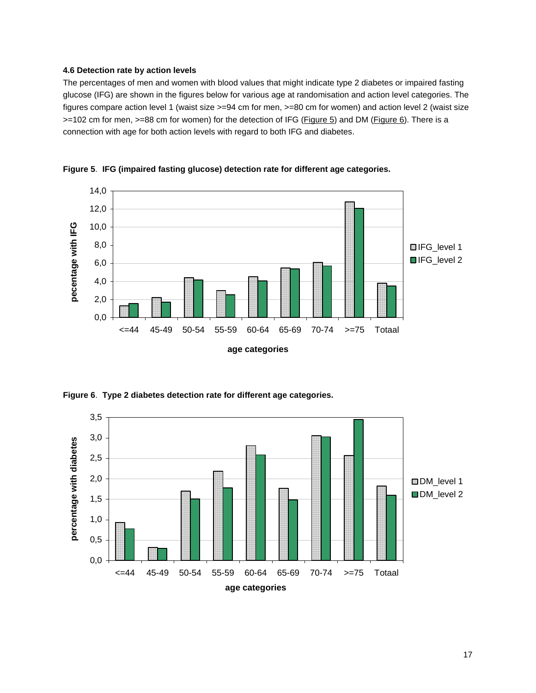#### **4.6 Detection rate by action levels**

The percentages of men and women with blood values that might indicate type 2 diabetes or impaired fasting glucose (IFG) are shown in the figures below for various age at randomisation and action level categories. The figures compare action level 1 (waist size >=94 cm for men, >=80 cm for women) and action level 2 (waist size >=102 cm for men, >=88 cm for women) for the detection of IFG (Figure 5) and DM (Figure 6). There is a connection with age for both action levels with regard to both IFG and diabetes.



**Figure 5**. **IFG (impaired fasting glucose) detection rate for different age categories.**

**Figure 6**. **Type 2 diabetes detection rate for different age categories.**

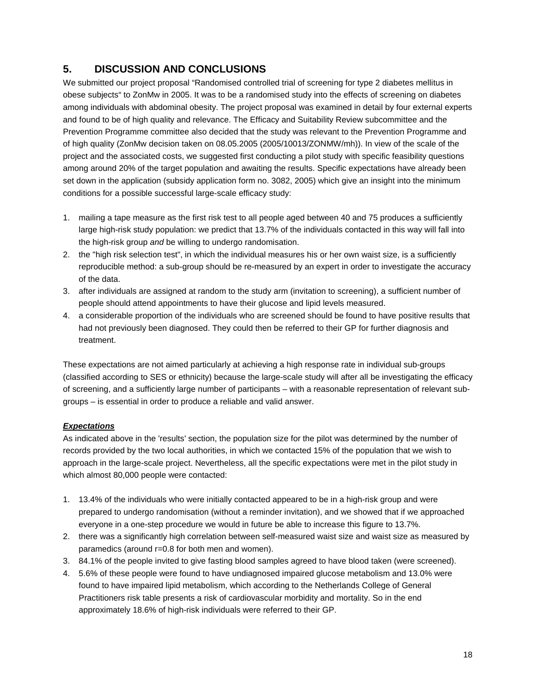# **5. DISCUSSION AND CONCLUSIONS**

We submitted our project proposal "Randomised controlled trial of screening for type 2 diabetes mellitus in obese subjects" to ZonMw in 2005. It was to be a randomised study into the effects of screening on diabetes among individuals with abdominal obesity. The project proposal was examined in detail by four external experts and found to be of high quality and relevance. The Efficacy and Suitability Review subcommittee and the Prevention Programme committee also decided that the study was relevant to the Prevention Programme and of high quality (ZonMw decision taken on 08.05.2005 (2005/10013/ZONMW/mh)). In view of the scale of the project and the associated costs, we suggested first conducting a pilot study with specific feasibility questions among around 20% of the target population and awaiting the results. Specific expectations have already been set down in the application (subsidy application form no. 3082, 2005) which give an insight into the minimum conditions for a possible successful large-scale efficacy study:

- 1. mailing a tape measure as the first risk test to all people aged between 40 and 75 produces a sufficiently large high-risk study population: we predict that 13.7% of the individuals contacted in this way will fall into the high-risk group and be willing to undergo randomisation.
- 2. the "high risk selection test", in which the individual measures his or her own waist size, is a sufficiently reproducible method: a sub-group should be re-measured by an expert in order to investigate the accuracy of the data.
- 3. after individuals are assigned at random to the study arm (invitation to screening), a sufficient number of people should attend appointments to have their glucose and lipid levels measured.
- 4. a considerable proportion of the individuals who are screened should be found to have positive results that had not previously been diagnosed. They could then be referred to their GP for further diagnosis and treatment.

These expectations are not aimed particularly at achieving a high response rate in individual sub-groups (classified according to SES or ethnicity) because the large-scale study will after all be investigating the efficacy of screening, and a sufficiently large number of participants – with a reasonable representation of relevant subgroups – is essential in order to produce a reliable and valid answer.

# **Expectations**

As indicated above in the 'results' section, the population size for the pilot was determined by the number of records provided by the two local authorities, in which we contacted 15% of the population that we wish to approach in the large-scale project. Nevertheless, all the specific expectations were met in the pilot study in which almost 80,000 people were contacted:

- 1. 13.4% of the individuals who were initially contacted appeared to be in a high-risk group and were prepared to undergo randomisation (without a reminder invitation), and we showed that if we approached everyone in a one-step procedure we would in future be able to increase this figure to 13.7%.
- 2. there was a significantly high correlation between self-measured waist size and waist size as measured by paramedics (around r=0.8 for both men and women).
- 3. 84.1% of the people invited to give fasting blood samples agreed to have blood taken (were screened).
- 4. 5.6% of these people were found to have undiagnosed impaired glucose metabolism and 13.0% were found to have impaired lipid metabolism, which according to the Netherlands College of General Practitioners risk table presents a risk of cardiovascular morbidity and mortality. So in the end approximately 18.6% of high-risk individuals were referred to their GP.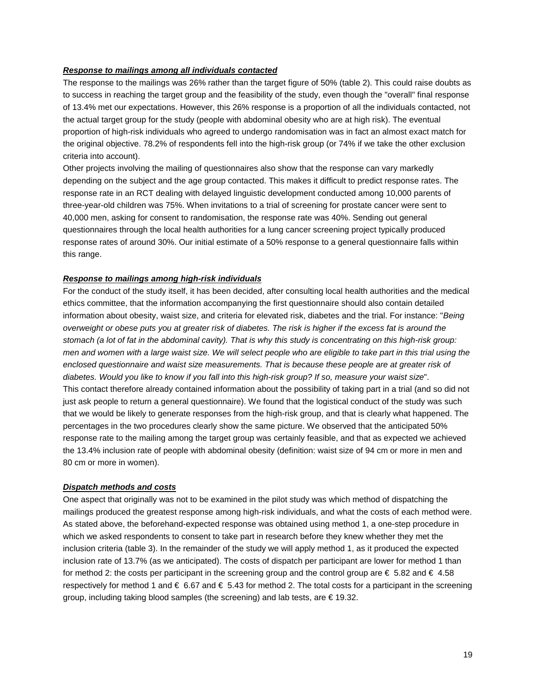#### **Response to mailings among all individuals contacted**

The response to the mailings was 26% rather than the target figure of 50% (table 2). This could raise doubts as to success in reaching the target group and the feasibility of the study, even though the "overall" final response of 13.4% met our expectations. However, this 26% response is a proportion of all the individuals contacted, not the actual target group for the study (people with abdominal obesity who are at high risk). The eventual proportion of high-risk individuals who agreed to undergo randomisation was in fact an almost exact match for the original objective. 78.2% of respondents fell into the high-risk group (or 74% if we take the other exclusion criteria into account).

Other projects involving the mailing of questionnaires also show that the response can vary markedly depending on the subject and the age group contacted. This makes it difficult to predict response rates. The response rate in an RCT dealing with delayed linguistic development conducted among 10,000 parents of three-year-old children was 75%. When invitations to a trial of screening for prostate cancer were sent to 40,000 men, asking for consent to randomisation, the response rate was 40%. Sending out general questionnaires through the local health authorities for a lung cancer screening project typically produced response rates of around 30%. Our initial estimate of a 50% response to a general questionnaire falls within this range.

#### **Response to mailings among high-risk individuals**

For the conduct of the study itself, it has been decided, after consulting local health authorities and the medical ethics committee, that the information accompanying the first questionnaire should also contain detailed information about obesity, waist size, and criteria for elevated risk, diabetes and the trial. For instance: "Being overweight or obese puts you at greater risk of diabetes. The risk is higher if the excess fat is around the stomach (a lot of fat in the abdominal cavity). That is why this study is concentrating on this high-risk group: men and women with a large waist size. We will select people who are eligible to take part in this trial using the enclosed questionnaire and waist size measurements. That is because these people are at greater risk of diabetes. Would you like to know if you fall into this high-risk group? If so, measure your waist size". This contact therefore already contained information about the possibility of taking part in a trial (and so did not just ask people to return a general questionnaire). We found that the logistical conduct of the study was such that we would be likely to generate responses from the high-risk group, and that is clearly what happened. The percentages in the two procedures clearly show the same picture. We observed that the anticipated 50% response rate to the mailing among the target group was certainly feasible, and that as expected we achieved the 13.4% inclusion rate of people with abdominal obesity (definition: waist size of 94 cm or more in men and 80 cm or more in women).

#### **Dispatch methods and costs**

One aspect that originally was not to be examined in the pilot study was which method of dispatching the mailings produced the greatest response among high-risk individuals, and what the costs of each method were. As stated above, the beforehand-expected response was obtained using method 1, a one-step procedure in which we asked respondents to consent to take part in research before they knew whether they met the inclusion criteria (table 3). In the remainder of the study we will apply method 1, as it produced the expected inclusion rate of 13.7% (as we anticipated). The costs of dispatch per participant are lower for method 1 than for method 2: the costs per participant in the screening group and the control group are  $\epsilon$  5.82 and  $\epsilon$  4.58 respectively for method 1 and  $\epsilon$  6.67 and  $\epsilon$  5.43 for method 2. The total costs for a participant in the screening group, including taking blood samples (the screening) and lab tests, are € 19.32.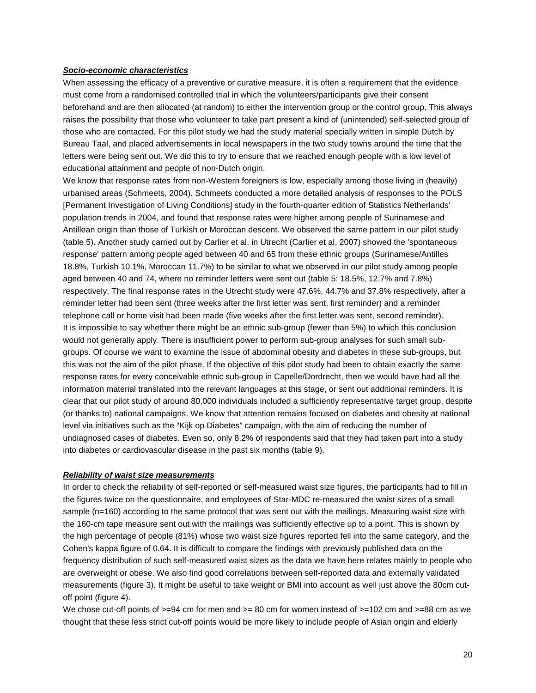#### **Socio-economic characteristics**

When assessing the efficacy of a preventive or curative measure, it is often a requirement that the evidence must come from a randomised controlled trial in which the volunteers/participants give their consent beforehand and are then allocated (at random) to either the intervention group or the control group. This always raises the possibility that those who volunteer to take part present a kind of (unintended) self-selected group of those who are contacted. For this pilot study we had the study material specially written in simple Dutch by Bureau Taal, and placed advertisements in local newspapers in the two study towns around the time that the letters were being sent out. We did this to try to ensure that we reached enough people with a low level of educational attainment and people of non-Dutch origin.

We know that response rates from non-Western foreigners is low, especially among those living in (heavily) urbanised areas (Schmeets, 2004). Schmeets conducted a more detailed analysis of responses to the POLS [Permanent Investigation of Living Conditions] study in the fourth-quarter edition of Statistics Netherlands' population trends in 2004, and found that response rates were higher among people of Surinamese and Antillean origin than those of Turkish or Moroccan descent. We observed the same pattern in our pilot study (table 5). Another study carried out by Carlier et al. in Utrecht (Carlier et al, 2007) showed the 'spontaneous response' pattern among people aged between 40 and 65 from these ethnic groups (Surinamese/Antilles 18.8%, Turkish 10.1%, Moroccan 11.7%) to be similar to what we observed in our pilot study among people aged between 40 and 74, where no reminder letters were sent out (table 5: 18.5%, 12.7% and 7.8%) respectively. The final response rates in the Utrecht study were 47.6%, 44.7% and 37.8% respectively, after a reminder letter had been sent (three weeks after the first letter was sent, first reminder) and a reminder telephone call or home visit had been made (five weeks after the first letter was sent, second reminder). It is impossible to say whether there might be an ethnic sub-group (fewer than 5%) to which this conclusion would not generally apply. There is insufficient power to perform sub-group analyses for such small subgroups. Of course we want to examine the issue of abdominal obesity and diabetes in these sub-groups, but this was not the aim of the pilot phase. If the objective of this pilot study had been to obtain exactly the same response rates for every conceivable ethnic sub-group in Capelle/Dordrecht, then we would have had all the information material translated into the relevant languages at this stage, or sent out additional reminders. It is clear that our pilot study of around 80,000 individuals included a sufficiently representative target group, despite (or thanks to) national campaigns. We know that attention remains focused on diabetes and obesity at national level via initiatives such as the "Kijk op Diabetes" campaign, with the aim of reducing the number of undiagnosed cases of diabetes. Even so, only 8.2% of respondents said that they had taken part into a study into diabetes or cardiovascular disease in the past six months (table 9).

#### **Reliability of waist size measurements**

In order to check the reliability of self-reported or self-measured waist size figures, the participants had to fill in the figures twice on the questionnaire, and employees of Star-MDC re-measured the waist sizes of a small sample (n=160) according to the same protocol that was sent out with the mailings. Measuring waist size with the 160-cm tape measure sent out with the mailings was sufficiently effective up to a point. This is shown by the high percentage of people (81%) whose two waist size figures reported fell into the same category, and the Cohen's kappa figure of 0.64. It is difficult to compare the findings with previously published data on the frequency distribution of such self-measured waist sizes as the data we have here relates mainly to people who are overweight or obese. We also find good correlations between self-reported data and externally validated measurements (figure 3). It might be useful to take weight or BMI into account as well just above the 80cm cutoff point (figure 4).

We chose cut-off points of  $>=94$  cm for men and  $>= 80$  cm for women instead of  $>=102$  cm and  $>=88$  cm as we thought that these less strict cut-off points would be more likely to include people of Asian origin and elderly